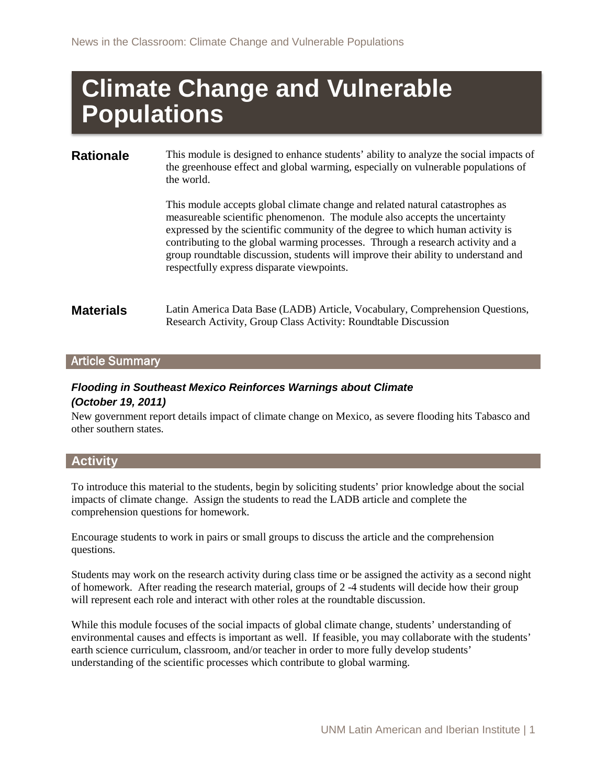# **Climate Change and Vulnerable Populations**

**Rationale** This module is designed to enhance students' ability to analyze the social impacts of the greenhouse effect and global warming, especially on vulnerable populations of the world.

> This module accepts global climate change and related natural catastrophes as measureable scientific phenomenon. The module also accepts the uncertainty expressed by the scientific community of the degree to which human activity is contributing to the global warming processes. Through a research activity and a group roundtable discussion, students will improve their ability to understand and respectfully express disparate viewpoints.

**Materials** Latin America Data Base (LADB) Article, Vocabulary, Comprehension Questions, Research Activity, Group Class Activity: Roundtable Discussion

#### Article Summary

# *Flooding in Southeast Mexico Reinforces Warnings about Climate*

#### *(October 19, 2011)*

New government report details impact of climate change on Mexico, as severe flooding hits Tabasco and other southern states.

#### **Activity**

To introduce this material to the students, begin by soliciting students' prior knowledge about the social impacts of climate change. Assign the students to read the LADB article and complete the comprehension questions for homework.

Encourage students to work in pairs or small groups to discuss the article and the comprehension questions.

Students may work on the research activity during class time or be assigned the activity as a second night of homework. After reading the research material, groups of 2 -4 students will decide how their group will represent each role and interact with other roles at the roundtable discussion.

While this module focuses of the social impacts of global climate change, students' understanding of environmental causes and effects is important as well. If feasible, you may collaborate with the students' earth science curriculum, classroom, and/or teacher in order to more fully develop students' understanding of the scientific processes which contribute to global warming.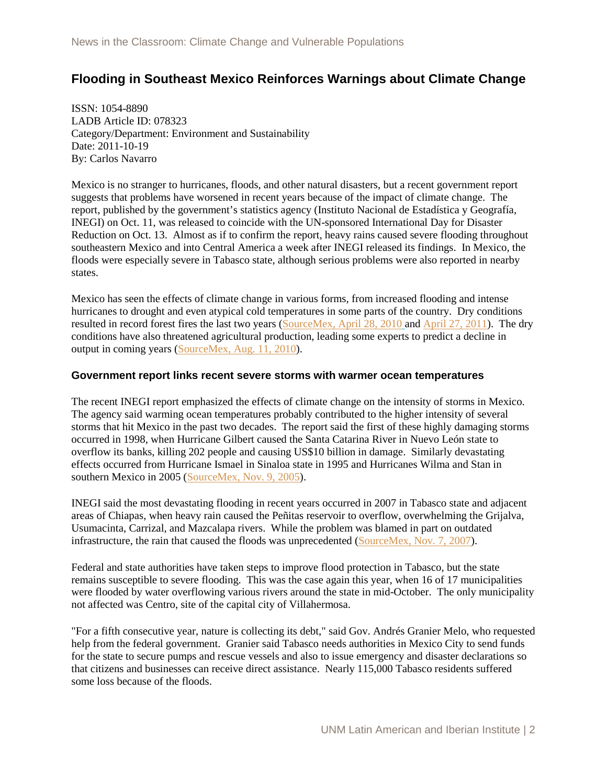## **Flooding in Southeast Mexico Reinforces Warnings about Climate Change**

ISSN: 1054-8890 LADB Article ID: 078323 Category/Department: Environment and Sustainability Date: 2011-10-19 By: Carlos Navarro

Mexico is no stranger to hurricanes, floods, and other natural disasters, but a recent government report suggests that problems have worsened in recent years because of the impact of climate change. The report, published by the government's statistics agency (Instituto Nacional de Estadística y Geografía, INEGI) on Oct. 11, was released to coincide with the UN-sponsored International Day for Disaster Reduction on Oct. 13. Almost as if to confirm the report, heavy rains caused severe flooding throughout southeastern Mexico and into Central America a week after INEGI released its findings. In Mexico, the floods were especially severe in Tabasco state, although serious problems were also reported in nearby states.

Mexico has seen the effects of climate change in various forms, from increased flooding and intense hurricanes to drought and even atypical cold temperatures in some parts of the country. Dry conditions resulted in record forest fires the last two years [\(SourceMex, April 28, 2010](http://ladb.unm.edu/sourcemex/2010/04/28-050592) and [April 27, 2011\)](http://ladb.unm.edu/sourcemex/2011/04/27-078183). The dry conditions have also threatened agricultural production, leading some experts to predict a decline in output in coming years [\(SourceMex, Aug. 11, 2010\)](http://ladb.unm.edu/sourcemex/2007/11/07-051262).

#### **Government report links recent severe storms with warmer ocean temperatures**

The recent INEGI report emphasized the effects of climate change on the intensity of storms in Mexico. The agency said warming ocean temperatures probably contributed to the higher intensity of several storms that hit Mexico in the past two decades. The report said the first of these highly damaging storms occurred in 1998, when Hurricane Gilbert caused the Santa Catarina River in Nuevo León state to overflow its banks, killing 202 people and causing US\$10 billion in damage. Similarly devastating effects occurred from Hurricane Ismael in Sinaloa state in 1995 and Hurricanes Wilma and Stan in southern Mexico in 2005 (SourceMex, Nov. 9, 2005).

INEGI said the most devastating flooding in recent years occurred in 2007 in Tabasco state and adjacent areas of Chiapas, when heavy rain caused the Peñitas reservoir to overflow, overwhelming the Grijalva, Usumacinta, Carrizal, and Mazcalapa rivers. While the problem was blamed in part on outdated infrastructure, the rain that caused the floods was unprecedented [\(SourceMex, Nov. 7, 2007\)](http://ladb.unm.edu/sourcemex/2007/11/07-051262).

Federal and state authorities have taken steps to improve flood protection in Tabasco, but the state remains susceptible to severe flooding. This was the case again this year, when 16 of 17 municipalities were flooded by water overflowing various rivers around the state in mid-October. The only municipality not affected was Centro, site of the capital city of Villahermosa.

"For a fifth consecutive year, nature is collecting its debt," said Gov. Andrés Granier Melo, who requested help from the federal government. Granier said Tabasco needs authorities in Mexico City to send funds for the state to secure pumps and rescue vessels and also to issue emergency and disaster declarations so that citizens and businesses can receive direct assistance. Nearly 115,000 Tabasco residents suffered some loss because of the floods.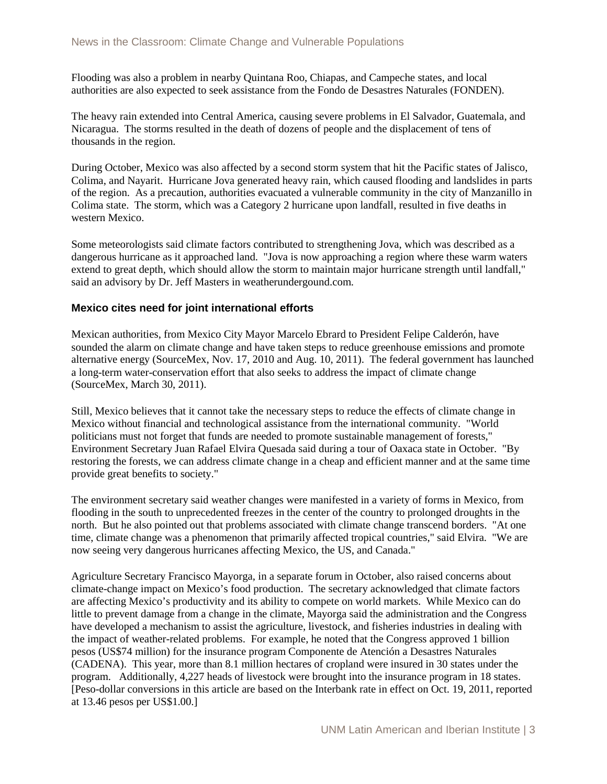Flooding was also a problem in nearby Quintana Roo, Chiapas, and Campeche states, and local authorities are also expected to seek assistance from the Fondo de Desastres Naturales (FONDEN).

The heavy rain extended into Central America, causing severe problems in El Salvador, Guatemala, and Nicaragua. The storms resulted in the death of dozens of people and the displacement of tens of thousands in the region.

During October, Mexico was also affected by a second storm system that hit the Pacific states of Jalisco, Colima, and Nayarit. Hurricane Jova generated heavy rain, which caused flooding and landslides in parts of the region. As a precaution, authorities evacuated a vulnerable community in the city of Manzanillo in Colima state. The storm, which was a Category 2 hurricane upon landfall, resulted in five deaths in western Mexico.

Some meteorologists said climate factors contributed to strengthening Jova, which was described as a dangerous hurricane as it approached land. "Jova is now approaching a region where these warm waters extend to great depth, which should allow the storm to maintain major hurricane strength until landfall," said an advisory by Dr. Jeff Masters in weatherundergound.com.

#### **Mexico cites need for joint international efforts**

Mexican authorities, from Mexico City Mayor Marcelo Ebrard to President Felipe Calderón, have sounded the alarm on climate change and have taken steps to reduce greenhouse emissions and promote alternative energy (SourceMex, Nov. 17, 2010 and Aug. 10, 2011). The federal government has launched a long-term water-conservation effort that also seeks to address the impact of climate change (SourceMex, March 30, 2011).

Still, Mexico believes that it cannot take the necessary steps to reduce the effects of climate change in Mexico without financial and technological assistance from the international community. "World politicians must not forget that funds are needed to promote sustainable management of forests," Environment Secretary Juan Rafael Elvira Quesada said during a tour of Oaxaca state in October. "By restoring the forests, we can address climate change in a cheap and efficient manner and at the same time provide great benefits to society."

The environment secretary said weather changes were manifested in a variety of forms in Mexico, from flooding in the south to unprecedented freezes in the center of the country to prolonged droughts in the north. But he also pointed out that problems associated with climate change transcend borders. "At one time, climate change was a phenomenon that primarily affected tropical countries," said Elvira. "We are now seeing very dangerous hurricanes affecting Mexico, the US, and Canada."

Agriculture Secretary Francisco Mayorga, in a separate forum in October, also raised concerns about climate-change impact on Mexico's food production. The secretary acknowledged that climate factors are affecting Mexico's productivity and its ability to compete on world markets. While Mexico can do little to prevent damage from a change in the climate, Mayorga said the administration and the Congress have developed a mechanism to assist the agriculture, livestock, and fisheries industries in dealing with the impact of weather-related problems. For example, he noted that the Congress approved 1 billion pesos (US\$74 million) for the insurance program Componente de Atención a Desastres Naturales (CADENA). This year, more than 8.1 million hectares of cropland were insured in 30 states under the program. Additionally, 4,227 heads of livestock were brought into the insurance program in 18 states. [Peso-dollar conversions in this article are based on the Interbank rate in effect on Oct. 19, 2011, reported at 13.46 pesos per US\$1.00.]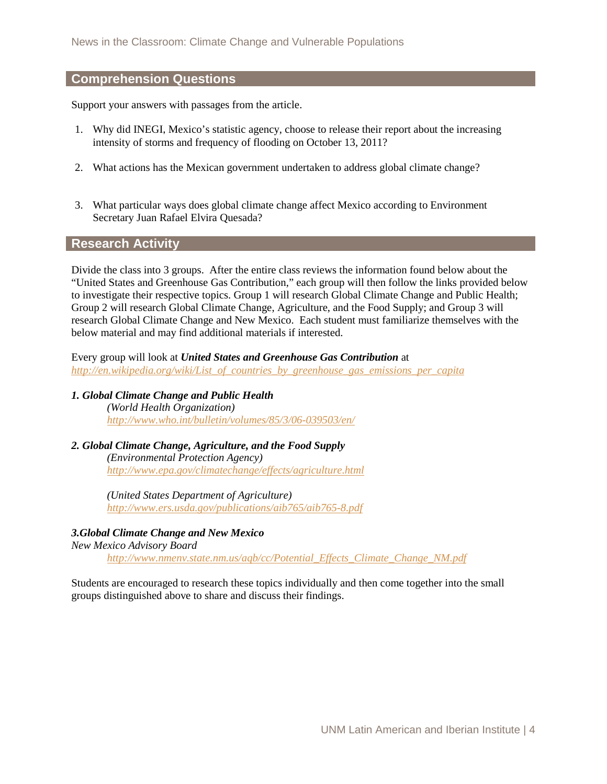#### **Comprehension Questions**

Support your answers with passages from the article.

- 1. Why did INEGI, Mexico's statistic agency, choose to release their report about the increasing intensity of storms and frequency of flooding on October 13, 2011?
- 2. What actions has the Mexican government undertaken to address global climate change?
- 3. What particular ways does global climate change affect Mexico according to Environment Secretary Juan Rafael Elvira Quesada?

#### **Research Activity**

Divide the class into 3 groups. After the entire class reviews the information found below about the "United States and Greenhouse Gas Contribution," each group will then follow the links provided below to investigate their respective topics. Group 1 will research Global Climate Change and Public Health; Group 2 will research Global Climate Change, Agriculture, and the Food Supply; and Group 3 will research Global Climate Change and New Mexico. Each student must familiarize themselves with the below material and may find additional materials if interested.

Every group will look at *United States and Greenhouse Gas Contribution* at *[http://en.wikipedia.org/wiki/List\\_of\\_countries\\_by\\_greenhouse\\_gas\\_emissions\\_per\\_capita](http://en.wikipedia.org/wiki/List_of_countries_by_greenhouse_gas_emissions_per_capita)*

*1. Global Climate Change and Public Health (World Health Organization) <http://www.who.int/bulletin/volumes/85/3/06-039503/en/>*

#### *2. Global Climate Change, Agriculture, and the Food Supply (Environmental Protection Agency) <http://www.epa.gov/climatechange/effects/agriculture.html>*

*(United States Department of Agriculture) <http://www.ers.usda.gov/publications/aib765/aib765-8.pdf>*

*3.Global Climate Change and New Mexico*

*New Mexico Advisory Board [http://www.nmenv.state.nm.us/aqb/cc/Potential\\_Effects\\_Climate\\_Change\\_NM.pdf](http://www.nmenv.state.nm.us/aqb/cc/Potential_Effects_Climate_Change_NM.pdf)*

Students are encouraged to research these topics individually and then come together into the small groups distinguished above to share and discuss their findings.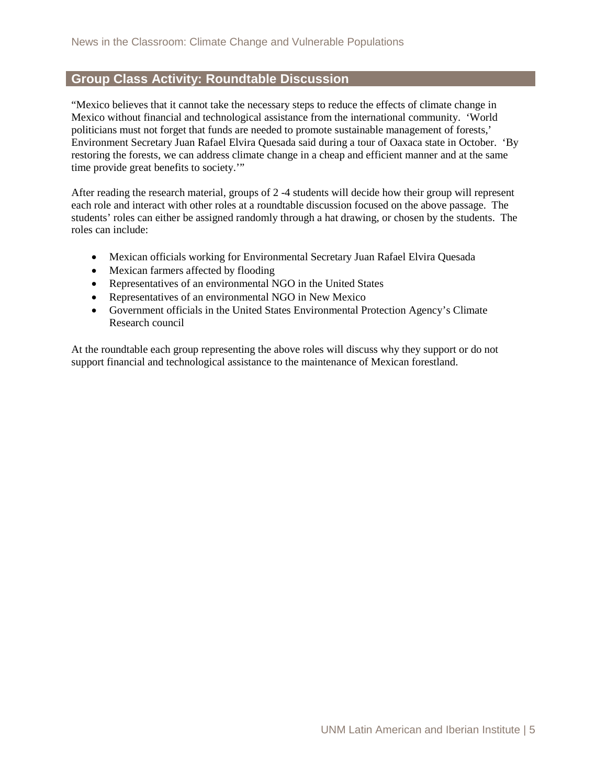### **Group Class Activity: Roundtable Discussion**

"Mexico believes that it cannot take the necessary steps to reduce the effects of climate change in Mexico without financial and technological assistance from the international community. 'World politicians must not forget that funds are needed to promote sustainable management of forests,' Environment Secretary Juan Rafael Elvira Quesada said during a tour of Oaxaca state in October. 'By restoring the forests, we can address climate change in a cheap and efficient manner and at the same time provide great benefits to society.'"

After reading the research material, groups of 2 -4 students will decide how their group will represent each role and interact with other roles at a roundtable discussion focused on the above passage. The students' roles can either be assigned randomly through a hat drawing, or chosen by the students. The roles can include:

- Mexican officials working for Environmental Secretary Juan Rafael Elvira Quesada
- Mexican farmers affected by flooding
- Representatives of an environmental NGO in the United States
- Representatives of an environmental NGO in New Mexico
- Government officials in the United States Environmental Protection Agency's Climate Research council

At the roundtable each group representing the above roles will discuss why they support or do not support financial and technological assistance to the maintenance of Mexican forestland.